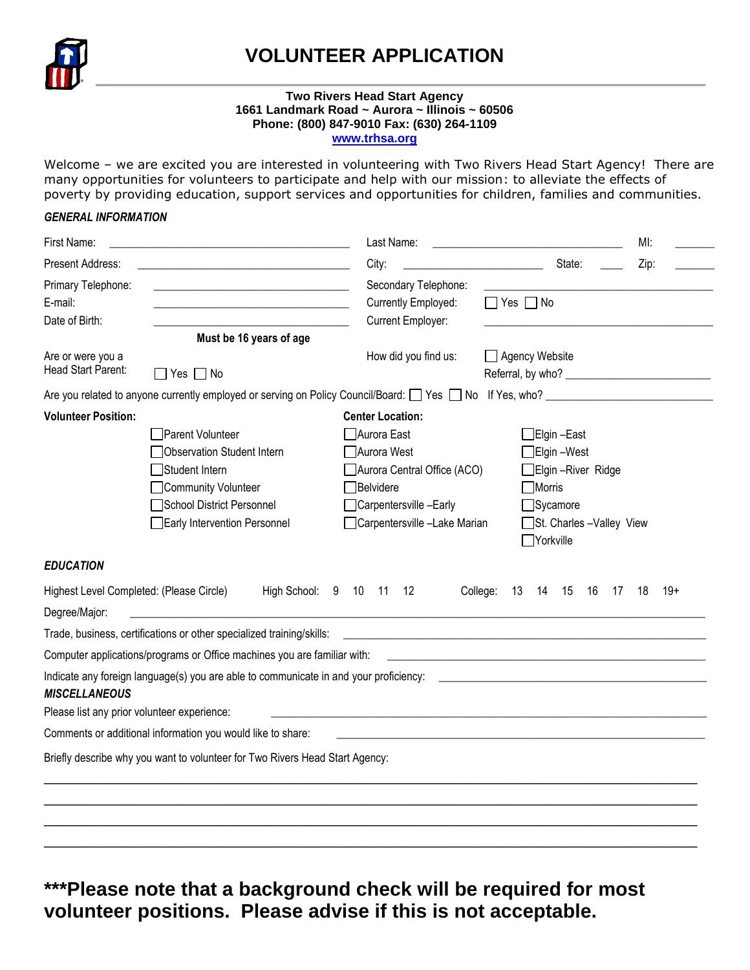

# **VOLUNTEER APPLICATION**

#### **Two Rivers Head Start Agency 1661 Landmark Road ~ Aurora ~ Illinois ~ 60506 Phone: (800) 847-9010 Fax: (630) 264-1109 [www.trhsa.org](http://www.trhsa.org/)**

Welcome - we are excited you are interested in volunteering with Two Rivers Head Start Agency! There are many opportunities for volunteers to participate and help with our mission: to alleviate the effects of poverty by providing education, support services and opportunities for children, families and communities.

### *GENERAL INFORMATION*

| First Name:                                                         |                                                                                                                                                | Last Name:                                                                                                       |                                                                                                                       | MI:         |
|---------------------------------------------------------------------|------------------------------------------------------------------------------------------------------------------------------------------------|------------------------------------------------------------------------------------------------------------------|-----------------------------------------------------------------------------------------------------------------------|-------------|
| Present Address:                                                    |                                                                                                                                                | City:                                                                                                            | State:                                                                                                                | Zip:        |
| Primary Telephone:<br>E-mail:<br>Date of Birth:                     | <u> 1980 - Johann Barn, mars an t-Amerikaansk politiker (</u>                                                                                  | Secondary Telephone:<br>Currently Employed:<br>Current Employer:                                                 | $\Box$ Yes $\Box$ No                                                                                                  |             |
|                                                                     | Must be 16 years of age                                                                                                                        |                                                                                                                  |                                                                                                                       |             |
| Are or were you a<br>Head Start Parent:                             | $\Box$ Yes $\Box$ No                                                                                                                           | How did you find us:                                                                                             | Agency Website                                                                                                        |             |
|                                                                     | Are you related to anyone currently employed or serving on Policy Council/Board: [2] Yes [2] No Fif Yes, who?                                  |                                                                                                                  |                                                                                                                       |             |
| <b>Volunteer Position:</b>                                          | Parent Volunteer                                                                                                                               | <b>Center Location:</b><br>Aurora East                                                                           | ∃Elgin –East                                                                                                          |             |
|                                                                     | <b>Observation Student Intern</b><br>Student Intern<br>Community Volunteer<br>School District Personnel<br><b>Early Intervention Personnel</b> | Aurora West<br>Aurora Central Office (ACO)<br>Belvidere<br>Carpentersville-Early<br>Carpentersville -Lake Marian | ∃Elgin –West<br>□Elgin -River Ridge<br>$\Box$ Morris<br>Sycamore<br>St. Charles - Valley View<br><b>Norkville</b>     |             |
| <b>EDUCATION</b>                                                    |                                                                                                                                                |                                                                                                                  |                                                                                                                       |             |
| Highest Level Completed: (Please Circle)                            | High School: 9 10 11                                                                                                                           | 12                                                                                                               | College:<br>14 15<br>13<br>16<br>- 17                                                                                 | $19+$<br>18 |
| Degree/Major:                                                       | <u> 1980 - Jan Samuel Barbara, margaret e populazion del control del control del control del control de la provi</u>                           |                                                                                                                  |                                                                                                                       |             |
|                                                                     | Trade, business, certifications or other specialized training/skills:                                                                          |                                                                                                                  | <u> 1989 - Johann Stoff, deutscher Stoff, der Stoff, der Stoff, der Stoff, der Stoff, der Stoff, der Stoff, der S</u> |             |
|                                                                     | Computer applications/programs or Office machines you are familiar with:                                                                       |                                                                                                                  |                                                                                                                       |             |
| <b>MISCELLANEOUS</b><br>Please list any prior volunteer experience: | Indicate any foreign language(s) you are able to communicate in and your proficiency:                                                          | <u> 1980 - John Stein, Amerikaansk politiker (</u> † 1920)                                                       |                                                                                                                       |             |
|                                                                     | Comments or additional information you would like to share:                                                                                    |                                                                                                                  |                                                                                                                       |             |
|                                                                     | Briefly describe why you want to volunteer for Two Rivers Head Start Agency:                                                                   |                                                                                                                  |                                                                                                                       |             |
|                                                                     |                                                                                                                                                |                                                                                                                  |                                                                                                                       |             |
|                                                                     |                                                                                                                                                |                                                                                                                  |                                                                                                                       |             |

**\*\*\*Please note that a background check will be required for most volunteer positions. Please advise if this is not acceptable.**